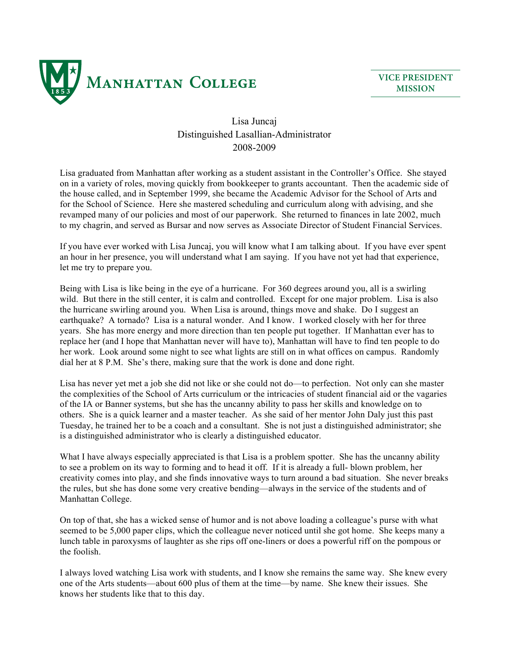

**VICE PRESIDENT MISSION**

## Lisa Juncaj Distinguished Lasallian-Administrator 2008-2009

Lisa graduated from Manhattan after working as a student assistant in the Controller's Office. She stayed on in a variety of roles, moving quickly from bookkeeper to grants accountant. Then the academic side of the house called, and in September 1999, she became the Academic Advisor for the School of Arts and for the School of Science. Here she mastered scheduling and curriculum along with advising, and she revamped many of our policies and most of our paperwork. She returned to finances in late 2002, much to my chagrin, and served as Bursar and now serves as Associate Director of Student Financial Services.

If you have ever worked with Lisa Juncaj, you will know what I am talking about. If you have ever spent an hour in her presence, you will understand what I am saying. If you have not yet had that experience, let me try to prepare you.

Being with Lisa is like being in the eye of a hurricane. For 360 degrees around you, all is a swirling wild. But there in the still center, it is calm and controlled. Except for one major problem. Lisa is also the hurricane swirling around you. When Lisa is around, things move and shake. Do I suggest an earthquake? A tornado? Lisa is a natural wonder. And I know. I worked closely with her for three years. She has more energy and more direction than ten people put together. If Manhattan ever has to replace her (and I hope that Manhattan never will have to), Manhattan will have to find ten people to do her work. Look around some night to see what lights are still on in what offices on campus. Randomly dial her at 8 P.M. She's there, making sure that the work is done and done right.

Lisa has never yet met a job she did not like or she could not do—to perfection. Not only can she master the complexities of the School of Arts curriculum or the intricacies of student financial aid or the vagaries of the IA or Banner systems, but she has the uncanny ability to pass her skills and knowledge on to others. She is a quick learner and a master teacher. As she said of her mentor John Daly just this past Tuesday, he trained her to be a coach and a consultant. She is not just a distinguished administrator; she is a distinguished administrator who is clearly a distinguished educator.

What I have always especially appreciated is that Lisa is a problem spotter. She has the uncanny ability to see a problem on its way to forming and to head it off. If it is already a full- blown problem, her creativity comes into play, and she finds innovative ways to turn around a bad situation. She never breaks the rules, but she has done some very creative bending—always in the service of the students and of Manhattan College.

On top of that, she has a wicked sense of humor and is not above loading a colleague's purse with what seemed to be 5,000 paper clips, which the colleague never noticed until she got home. She keeps many a lunch table in paroxysms of laughter as she rips off one-liners or does a powerful riff on the pompous or the foolish.

I always loved watching Lisa work with students, and I know she remains the same way. She knew every one of the Arts students—about 600 plus of them at the time—by name. She knew their issues. She knows her students like that to this day.